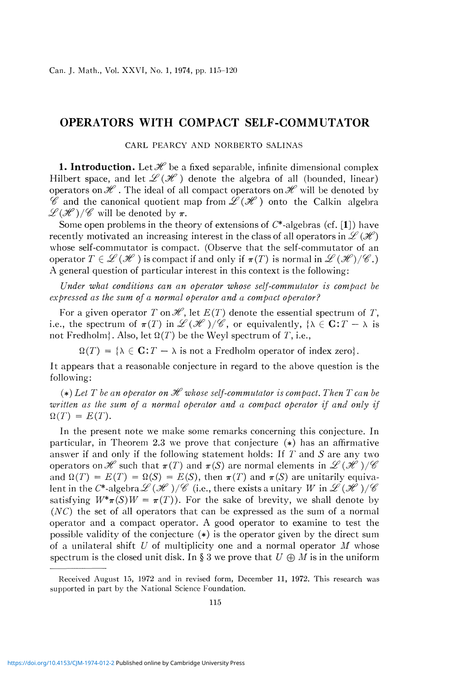## OPERATORS WITH COMPACT SELF-COMMUTATOR

CARL PEARCY AND NORBERTO SALINAS

**1. Introduction.** Let  $\mathcal{H}$  be a fixed separable, infinite dimensional complex Hilbert space, and let  $\mathcal{L}(\mathcal{H})$  denote the algebra of all (bounded, linear) operators on  $\mathscr H$ . The ideal of all compact operators on  $\mathscr H$  will be denoted by  $\mathscr C$  and the canonical quotient map from  $\mathscr L(\mathscr H)$  onto the Calkin algebra  $\mathscr{L}(\mathscr{H})/\mathscr{C}$  will be denoted by  $\pi$ .

Some open problems in the theory of extensions of  $C^*$ -algebras (cf. [1]) have recently motivated an increasing interest in the class of all operators in  $\mathscr{L}(\mathscr{H})$ whose self-commutator is compact. (Observe that the self-commutator of an operator  $T \in \mathcal{L}(\mathcal{H})$  is compact if and only if  $\pi(T)$  is normal in  $\mathcal{L}(\mathcal{H})/\mathcal{C}$ .) A general question of particular interest in this context is the following:

*Under what conditions can an operator whose self-commutator is compact be expressed as the sum of a normal operator and a compact operator?* 

For a given operator  $T$  on  $\mathscr{H}$ , let  $E(T)$  denote the essential spectrum of  $T$ , i.e., the spectrum of  $\pi(T)$  in  $\mathscr{L}(\mathscr{H})/\mathscr{C}$ , or equivalently, { $\lambda \in \mathbb{C}: T - \lambda$  is not Fredholm}. Also, let  $\Omega(T)$  be the Weyl spectrum of T, i.e.,

 $\Omega(T) = {\lambda \in \mathbf{C}: T - \lambda \text{ is not a Fredholm operator of index zero}}$ .

It appears that a reasonable conjecture in regard to the above question is the following:

 $(*)$  Let T be an operator on  $\mathcal H$  whose self-commutator is compact. Then T can be written as the sum of a normal operator and a compact operator if and only if  $\Omega(T) = E(T)$ .

In the present note we make some remarks concerning this conjecture. In particular, in Theorem 2.3 we prove that conjecture  $(*)$  has an affirmative answer if and only if the following statement holds: If *T* and *S* are any two operators on  $\mathscr H$  such that  $\pi(T)$  and  $\pi(S)$  are normal elements in  $\mathscr L(\mathscr H)/\mathscr C$ and  $\Omega(T) = E(T) = \Omega(S) = E(S)$ , then  $\pi(T)$  and  $\pi(S)$  are unitarily equivalent in the C\*-algebra  $\mathscr{L}(\mathscr{H})/\mathscr{C}$  (i.e., there exists a unitary  $W$  in  $\mathscr{L}(\mathscr{H})/\mathscr{C}$ satisfying  $W^*\pi(S)W = \pi(T)$ . For the sake of brevity, we shall denote by  $(NC)$  the set of all operators that can be expressed as the sum of a normal operator and a compact operator. A good operator to examine to test the possible validity of the conjecture (\*) is the operator given by the direct sum of a unilateral shift *U* of multiplicity one and a normal operator *M* whose spectrum is the closed unit disk. In § 3 we prove that  $U \oplus M$  is in the uniform

Received August 15, 1972 and in revised form, December 11, 1972. This research was supported in part by the National Science Foundation.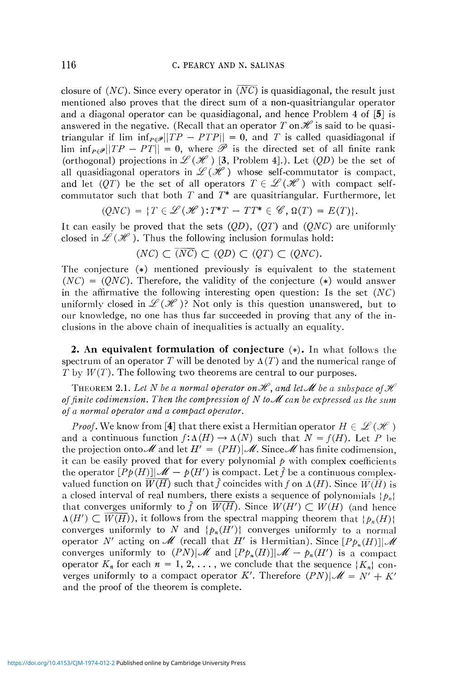closure of  $(NC)$ . Since every operator in  $\overline{(NC)}$  is quasidiagonal, the result just mentioned also proves that the direct sum of a non-quasitriangular operator and a diagonal operator can be quasidiagonal, and hence Problem 4 of [5] is answered in the negative. (Recall that an operator T on  $\mathscr H$  is said to be quasitriangular if lim  $\inf_{P \in \mathcal{P}} ||TP - PTP|| = 0$ , and T is called quasidiagonal if  $\lim_{n \to \infty} \inf_{P \in \mathscr{P}} ||TP - PT|| = 0$ , where  $\mathscr{P}$  is the directed set of all finite rank (orthogonal) projections in  $\mathscr{L}(\mathscr{H})$  [3, Problem 4].). Let  $(QD)$  be the set of all quasidiagonal operators in  $L(\mathcal{H})$  whose self-commutator is compact, and let  $(QT)$  be the set of all operators  $T \in \mathcal{L}(\mathcal{H})$  with compact selfcommutator such that both  $T$  and  $T^*$  are quasitriangular. Furthermore, let

$$
(QNC) = \{T \in \mathcal{L}(\mathcal{H}): T^*T - TT^* \in \mathcal{C}, \Omega(T) = E(T)\}.
$$

It can easily be proved that the sets  $(QD)$ ,  $(QT)$  and  $(QNC)$  are uniformly closed in  $L(\mathcal{H})$ . Thus the following inclusion formulas hold:

$$
(NC) \subset (NC) \subset (QD) \subset (QT) \subset (QNC).
$$

The conjecture  $(*)$  mentioned previously is equivalent to the statement  $(NC) = (QNC)$ . Therefore, the validity of the conjecture (\*) would answer in the affirmative the following interesting open question: Is the set *(NC)*  uniformly closed in  $\mathscr{L}(\mathscr{H})$ ? Not only is this question unanswered, but to our knowledge, no one has thus far succeeded in proving that any of the inclusions in the above chain of inequalities is actually an equality.

**2. An equivalent formulation of conjecture**  $(*)$ **. In what follows the** spectrum of an operator T will be denoted by  $\Lambda(T)$  and the numerical range of *T* by  $W(T)$ . The following two theorems are central to our purposes.

THEOREM 2.1. Let N be a normal operator on  $\mathscr H$ , and let  $\mathscr M$  be a subspace of  $\mathscr H$ *of finite codimension. Then the compression of*  $N$  *to* $\mathcal M$  *can be expressed as the sum of a normal operator and a compact operator.* 

*Proof.* We know from [4] that there exist a Hermitian operator  $H \in \mathcal{L}(\mathcal{H})$ and a continuous function  $f: \Lambda(H) \to \Lambda(N)$  such that  $N = f(H)$ . Let P be the projection onto  $\mathcal M$  and let  $H' = (PH)|\mathcal M$ . Since  $\mathcal M$  has finite codimension, it can be easily proved that for every polynomial  $p$  with complex coefficients the operator  $[P\phi(H)]\mathcal{M} - \phi(H')$  is compact. Let  $\tilde{f}$  be a continuous complexvalued function on  $\overline{W(H)}$  such that  $\tilde{f}$  coincides with f on  $\Lambda(H)$ . Since  $\overline{W(H)}$  is a closed interval of real numbers, there exists a sequence of polynomials  $\{p_n\}$ that converges uniformly to  $\tilde{f}$  on  $\overline{W(H)}$ . Since  $W(H') \subset W(H)$  (and hence  $A(H') \subset \overline{W(H)}$ , it follows from the spectral mapping theorem that  $\{p_n(H)\}$ converges uniformly to N and  $\{p_n(H')\}$  converges uniformly to a normal operator *N'* acting on *M* (recall that *H'* is Hermitian). Since  $[Pp_n(H)]\mathcal{M}$ converges uniformly to  $(PN)|\mathcal{M}$  and  $[Pp_n(H)]|\mathcal{M} - p_n(H')$  is a compact operator  $K_n$  for each  $n = 1, 2, \ldots$ , we conclude that the sequence  $\{K_n\}$  converges uniformly to a compact operator K'. Therefore  $(PN)|\mathscr{M} = N' + K'$ and the proof of the theorem is complete.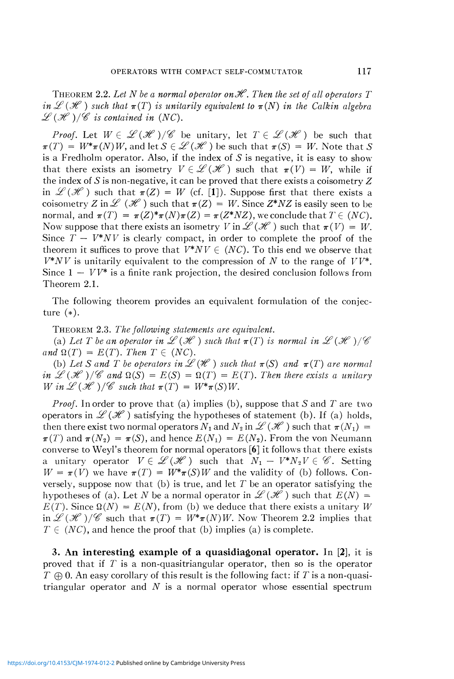THEOREM 2.2. Let N be a normal operator on  $\mathscr H$ . Then the set of all operators T *in*  $\mathscr{L}(\mathscr{H})$  such that  $\pi(T)$  is unitarily equivalent to  $\pi(N)$  in the Calkin algebra  $L^2(\mathcal{H})/\mathcal{C}$  *is contained in (NC).* 

*Proof.* Let  $W \in \mathcal{L}(\mathcal{H})/\mathcal{C}$  be unitary, let  $T \in \mathcal{L}(\mathcal{H})$  be such that  $\pi(T) = W^*\pi(N)W$ , and let  $S \in \mathcal{L}(\mathcal{H})$  be such that  $\pi(S) = W$ . Note that *S* is a Fredholm operator. Also, if the index of *S* is negative, it is easy to show that there exists an isometry  $V \in \mathcal{L}(\mathcal{H})$  such that  $\pi(V) = W$ , while if the index of 5 is non-negative, it can be proved that there exists a coisometry *Z*  in  $\mathscr{L}(\mathscr{H})$  such that  $\pi(Z) = W$  (cf. [1]). Suppose first that there exists a coisometry *Z* in  $\mathscr{L}(\mathscr{H})$  such that  $\pi(Z) = W$ . Since  $Z^*NZ$  is easily seen to be normal, and  $\pi(T) = \pi(Z)^*\pi(N)\pi(Z) = \pi(Z^*NZ)$ , we conclude that  $T \in (NC)$ . Now suppose that there exists an isometry *V* in  $\mathscr{L}(\mathscr{H})$  such that  $\pi(V) = W$ . Since  $T - V^*NV$  is clearly compact, in order to complete the proof of the theorem it suffices to prove that  $V^*NV \in (NC)$ . To this end we observe that *V\*NV* is unitarily equivalent to the compression of *N* to the range of *VV\*.*  Since  $1 - VV^*$  is a finite rank projection, the desired conclusion follows from Theorem 2.1.

The following theorem provides an equivalent formulation of the conjecture (\*).

THEOREM 2.3. *The following statements are equivalent.* 

(a) Let T be an operator in  $L^p(\mathcal{H})$  such that  $\pi(T)$  is normal in  $L^p(\mathcal{H})/C^p$ *and*  $\Omega(T) = E(T)$ *. Then*  $T \in (NC)$ *.* 

(b) Let S and T be operators in  $\mathscr{L}(\mathscr{H})$  such that  $\pi(S)$  and  $\pi(T)$  are normal *in*  $\mathscr{L}(\mathscr{H})/\mathscr{C}$  and  $\Omega(S) = E(S) = \Omega(T) = E(T)$ . Then there exists a unitary *W* in  $\mathscr{L}(\mathscr{H})/\mathscr{C}$  such that  $\pi(T) = W^*\pi(S)W$ .

*Proof.* In order to prove that (a) implies (b), suppose that *S* and *T* are two operators in  $\mathscr{L}(\mathscr{H})$  satisfying the hypotheses of statement (b). If (a) holds, then there exist two normal operators  $N_1$  and  $N_2$  in  $\mathscr{L}(\mathscr{H})$  such that  $\pi(N_1) =$  $\pi(T)$  and  $\pi(N_2) = \pi(S)$ , and hence  $E(N_1) = E(N_2)$ . From the von Neumann converse to Weyl's theorem for normal operators [6] it follows that there exists a unitary operator  $V \in \mathcal{L}(\mathcal{H})$  such that  $N_1 - V^*N_2V \in \mathcal{C}$ . Setting  $W = \pi(V)$  we have  $\pi(T) = W^* \pi(S)W$  and the validity of (b) follows. Conversely, suppose now that (b) is true, and let *T* be an operator satisfying the hypotheses of (a). Let N be a normal operator in  $\mathscr{L}(\mathscr{H})$  such that  $E(N)$  =  $E(T)$ . Since  $\Omega(N) = E(N)$ , from (b) we deduce that there exists a unitary W in  $\mathscr{L}(\mathscr{H})/\mathscr{C}$  such that  $\pi(T) = W^*\pi(N)W$ . Now Theorem 2.2 implies that  $T \in (NC)$ , and hence the proof that (b) implies (a) is complete.

**3. An interesting example of a quasidiagonal operator.** In [2], it is proved that if  $T$  is a non-quasitriangular operator, then so is the operator  $T \oplus 0$ . An easy corollary of this result is the following fact: if T is a non-quasitriangular operator and *N* is a normal operator whose essential spectrum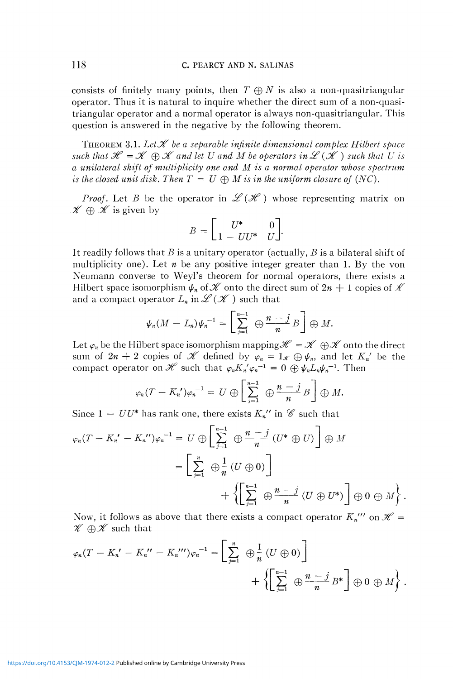consists of finitely many points, then  $T \oplus N$  is also a non-quasitriangular operator. Thus it is natural to inquire whether the direct sum of a non-quasitriangular operator and a normal operator is always non-quasitriangular. This question is answered in the negative by the following theorem.

THEOREM 3.1. Let  $\mathcal X$  be a separable infinite dimensional complex Hilbert space *such that*  $\mathcal{H} = \mathcal{K} \oplus \mathcal{K}$  and let U and M be operators in  $\mathcal{L}(\mathcal{K})$  such that U is *a unilateral shift of multiplicity one and M is a normal operator whose spectrum is the closed unit disk. Then*  $T = U \oplus M$  *is in the uniform closure of (NC).* 

*Proof.* Let *B* be the operator in  $\mathscr{L}(\mathscr{H})$  whose representing matrix on  $\mathscr{K} \oplus \mathscr{K}$  is given by

$$
B = \begin{bmatrix} U^* & 0 \\ 1 - UU^* & U \end{bmatrix}.
$$

It readily follows that *B* is a unitary operator (actually, *B* is a bilateral shift of multiplicity one). Let *n* be any positive integer greater than 1. By the von Neumann converse to Weyl's theorem for normal operators, there exists a Hilbert space isomorphism  $\psi_n$  of  $\mathscr K$  onto the direct sum of  $2n + 1$  copies of  $\mathscr K$ and a compact operator  $L_n$  in  $\mathscr{L}(\mathscr{K})$  such that

$$
\psi_n(M-L_n)\psi_n^{-1}=\left[\sum_{j=1}^{n-1}\Theta\frac{n-j}{n}B\right]\Theta M.
$$

Let  $\varphi_n$  be the Hilbert space isomorphism mapping  $\mathscr{H} = \mathscr{K} \oplus \mathscr{K}$  onto the direct sum of  $2n + 2$  copies of  $\mathscr K$  defined by  $\varphi_n = 1_{\mathscr K} \oplus \psi_n$ , and let  $K_n'$  be the compact operator on  $\mathscr{H}$  such that  $\varphi_n K_n' \varphi_n^{-1} = 0 \oplus \psi_n L_n \psi_n^{-1}$ . Then

$$
\varphi_n(T-K_n')\varphi_n^{-1}=U\oplus \left[\sum_{j=1}^{n-1}\Theta_j\frac{n-j}{n}B_j\right]\oplus M.
$$

Since  $1 - UU^*$  has rank one, there exists  $K_n''$  in  $\mathscr C$  such that

$$
\varphi_n(T - K_n' - K_n'')\varphi_n^{-1} = U \oplus \left[\sum_{j=1}^{n-1} \bigoplus_{n=1}^n \bigoplus_{n=1}^{n} (U^* \oplus U)\right] \oplus M
$$
  
= 
$$
\left[\sum_{j=1}^n \bigoplus_{n=1}^n (U \oplus 0)\right]
$$
  
+ 
$$
\left\{\left[\sum_{j=1}^{n-1} \bigoplus_{n=1}^{n} \bigoplus_{n=1}^{n} (U \oplus U^*)\right] \oplus 0 \oplus M\right\}.
$$

Now, it follows as above that there exists a compact operator  $K_n$ <sup>*'''*</sup> on  $\mathcal{H} =$  $\mathcal{H} \oplus \mathcal{H}$  such that

$$
\varphi_n(T - K_n' - K_n'' - K_n''')\varphi_n^{-1} = \left[\sum_{j=1}^n \bigoplus_{j=1}^n (U \oplus 0)\right] + \left\{\left[\sum_{j=1}^{n-1} \bigoplus_{j=1}^n B^*\right] \oplus 0 \oplus M\right\}.
$$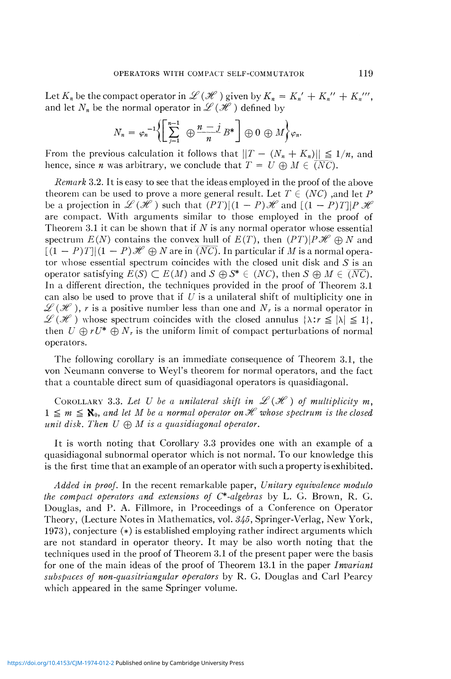Let  $K_n$  be the compact operator in  $\mathscr{L}(\mathscr{H})$  given by  $K_n = K_n' + K_n'' + K_n'''$ , and let  $N_n$  be the normal operator in  $\mathscr{L}(\mathscr{H})$  defined by

$$
N_n = \varphi_n^{-1} \left\{ \left[ \sum_{j=1}^{n-1} \Theta \frac{n-j}{n} B^* \right] \oplus 0 \oplus M \right\} \varphi_n.
$$

From the previous calculation it follows that  $\|T - (N_n + K_n)\| \leq 1/n$ , and hence, since *n* was arbitrary, we conclude that  $T = U \oplus M \in \overline{(NC)}$ .

*Remark* 3.2. It is easy to see that the ideas employed in the proof of the above theorem can be used to prove a more general result. Let  $T \in (NC)$  , and let P be a projection in  $\mathscr{L}(\mathscr{H})$  such that  $(PT)|(1 - P)\mathscr{H}$  and  $[(1 - P)T]|P\mathscr{H}$ are compact. With arguments similar to those employed in the proof of Theorem 3.1 it can be shown that if *N* is any normal operator whose essential spectrum  $E(N)$  contains the convex hull of  $E(T)$ , then  $(PT)|P\mathcal{H} \oplus N$  and  $[(1 - P)T] | (1 - P) \mathcal{H} \oplus N$  are in  $\overline{(NC)}$ . In particular if *M* is a normal operator whose essential spectrum coincides with the closed unit disk and  $S$  is an operator satisfying  $E(S) \subset E(M)$  and  $S \oplus S^* \in (NC)$ , then  $S \oplus M \in \overline{(NC)}$ . In a different direction, the techniques provided in the proof of Theorem 3.1 can also be used to prove that if *U* is a unilateral shift of multiplicity one in  $\mathscr{L}(\mathscr{H})$ , *r* is a positive number less than one and  $N_r$  is a normal operator in  $\mathscr{L}(\mathscr{H})$  whose spectrum coincides with the closed annulus  $\{\lambda : r \leq |\lambda| \leq 1\},$ then  $U \oplus rU^* \oplus N_r$  is the uniform limit of compact perturbations of normal operators.

The following corollary is an immediate consequence of Theorem 3.1, the von Neumann converse to Weyl's theorem for normal operators, and the fact that a countable direct sum of quasidiagonal operators is quasidiagonal.

COROLLARY 3.3. Let U be a unilateral shift in  $L(\mathcal{H})$  of multiplicity m,  $1 \leq m \leq \aleph_0$ , and let *M* be a normal operator on  $\mathcal H$  whose spectrum is the closed *unit disk. Then*  $U \oplus M$  *is a quasidiagonal operator.* 

It is worth noting that Corollary 3.3 provides one with an example of a quasidiagonal subnormal operator which is not normal. To our knowledge this is the first time that an example of an operator with such a property is exhibited.

*Added in proof.* In the recent remarkable paper, *Unitary equivalence modulo the compact operators and extensions of C\*-algebras* by L. G. Brown, R. G. Douglas, and P. A. Fillmore, in Proceedings of a Conference on Operator Theory, (Lecture Notes in Mathematics, vol. *S/j.5,* Springer-Verlag, New York, 1973), conjecture (\*) is established employing rather indirect arguments which are not standard in operator theory. It may be also worth noting that the techniques used in the proof of Theorem 3.1 of the present paper were the basis for one of the main ideas of the proof of Theorem 13.1 in the paper *Invariant subspaces of non-quasitriangular operators* by R. G. Douglas and Carl Pearcy which appeared in the same Springer volume.